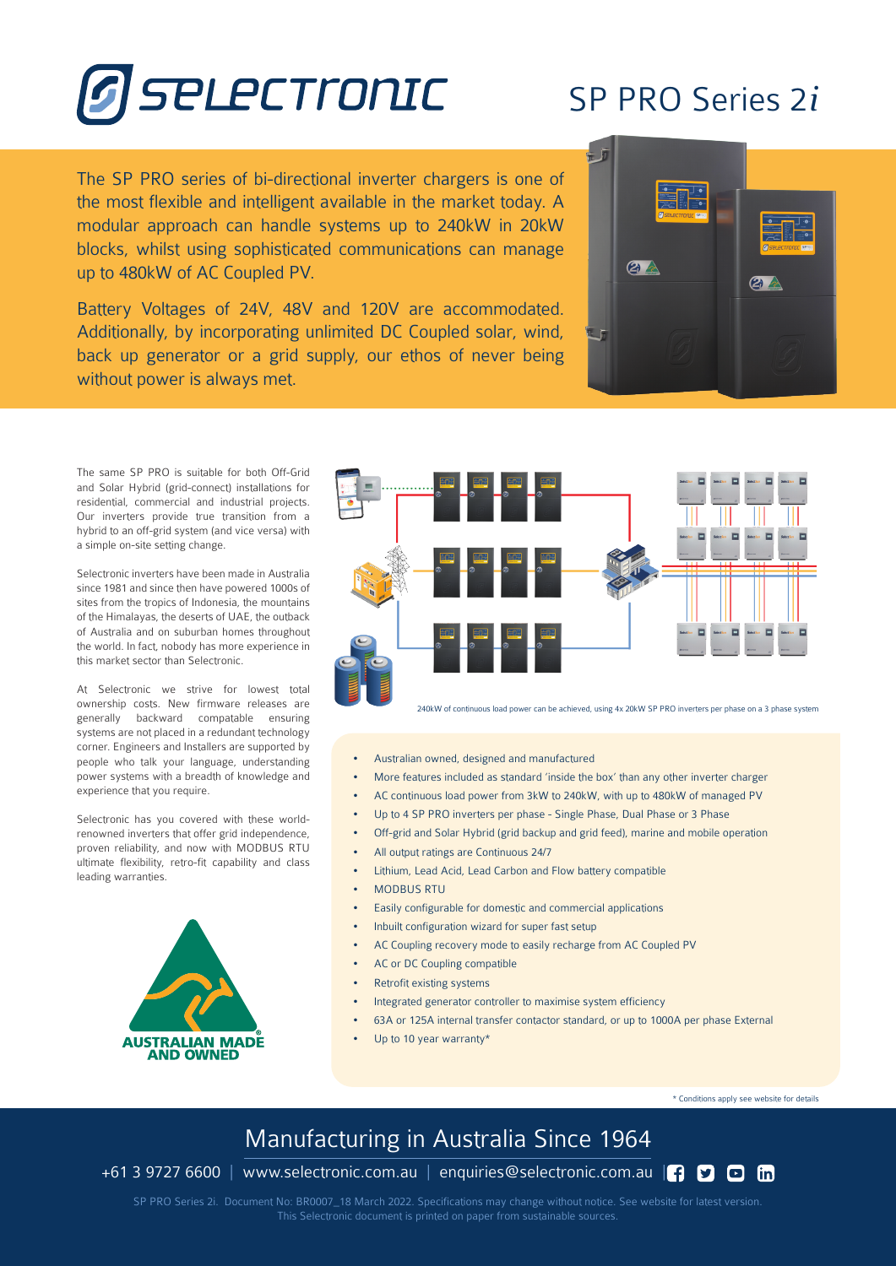

## SP PRO Series 2*i*

The SP PRO series of bi-directional inverter chargers is one of the most flexible and intelligent available in the market today. A modular approach can handle systems up to 240kW in 20kW blocks, whilst using sophisticated communications can manage up to 480kW of AC Coupled PV.

Battery Voltages of 24V, 48V and 120V are accommodated. Additionally, by incorporating unlimited DC Coupled solar, wind, back up generator or a grid supply, our ethos of never being without power is always met.



The same SP PRO is suitable for both Off-Grid and Solar Hybrid (grid-connect) installations for residential, commercial and industrial projects. Our inverters provide true transition from a hybrid to an off-grid system (and vice versa) with a simple on-site setting change.

Selectronic inverters have been made in Australia since 1981 and since then have powered 1000s of sites from the tropics of Indonesia, the mountains of the Himalayas, the deserts of UAE, the outback of Australia and on suburban homes throughout the world. In fact, nobody has more experience in this market sector than Selectronic.

At Selectronic we strive for lowest total ownership costs. New firmware releases are generally backward compatable ensuring systems are not placed in a redundant technology corner. Engineers and Installers are supported by people who talk your language, understanding power systems with a breadth of knowledge and experience that you require.

Selectronic has you covered with these worldrenowned inverters that offer grid independence, proven reliability, and now with MODBUS RTU ultimate flexibility, retro-fit capability and class leading warranties.





240kW of continuous load power can be achieved, using 4x 20kW SP PRO inverters per phase on a 3 phase system

- Australian owned, designed and manufactured
- More features included as standard 'inside the box' than any other inverter charger
- AC continuous load power from 3kW to 240kW, with up to 480kW of managed PV
- Up to 4 SP PRO inverters per phase Single Phase, Dual Phase or 3 Phase
- Off-grid and Solar Hybrid (grid backup and grid feed), marine and mobile operation
- All output ratings are Continuous 24/7
- Lithium, Lead Acid, Lead Carbon and Flow battery compatible
- MODBUS RTU
- Easily configurable for domestic and commercial applications
- Inbuilt configuration wizard for super fast setup
- AC Coupling recovery mode to easily recharge from AC Coupled PV
- AC or DC Coupling compatible
- Retrofit existing systems
- Integrated generator controller to maximise system efficiency
- 63A or 125A internal transfer contactor standard, or up to 1000A per phase External
- Up to 10 year warranty\*

\* Conditions apply see website for details

## Manufacturing in Australia Since 1964

+61 3 9727 6600 | www.selectronic.com.au | enquiries@selectronic.com.au  $\Box$   $\Box$   $\Box$   $\Box$ 

SP PRO Series 2i. Document No: BR0007\_18 March 2022. Specifications may change without notice. See website for latest version. This Selectronic document is printed on paper from sustainable sources.